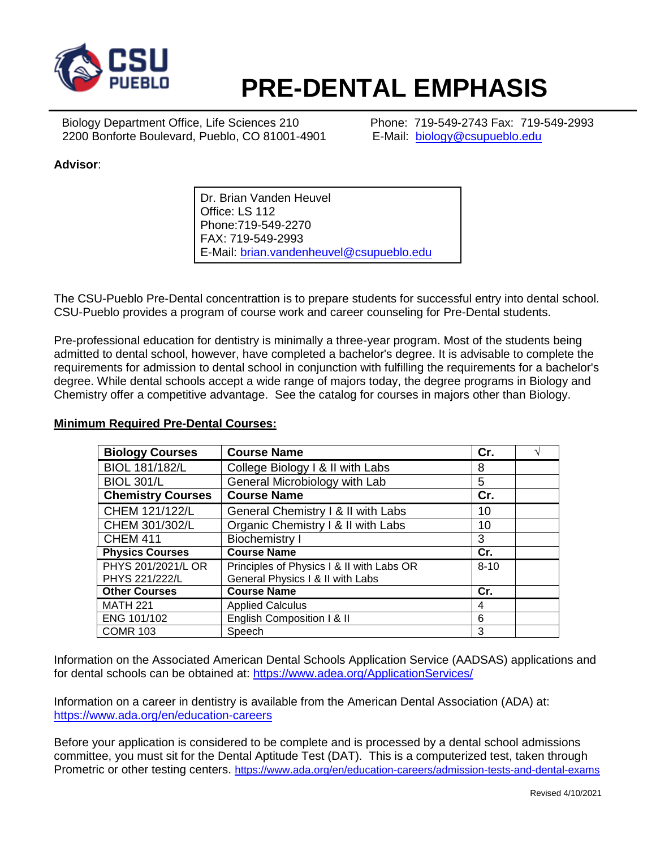

# **PRE-DENTAL EMPHASIS**

Biology Department Office, Life Sciences 210 Phone: 719-549-2743 Fax: 719-549-2993 2200 Bonforte Boulevard, Pueblo, CO 81001-4901 E-Mail: [biology@csupueblo.edu](mailto:biology@csupueblo.edu)

## **Advisor**:

Dr. Brian Vanden Heuvel Office: LS 112 Phone:719-549-2270 FAX: 719-549-2993 E-Mail: [brian.vandenheuvel@csupueblo.edu](mailto:brian.vandenheuvel@csupueblo.edu)

The CSU-Pueblo Pre-Dental concentrattion is to prepare students for successful entry into dental school. CSU-Pueblo provides a program of course work and career counseling for Pre-Dental students.

Pre-professional education for dentistry is minimally a three-year program. Most of the students being admitted to dental school, however, have completed a bachelor's degree. It is advisable to complete the requirements for admission to dental school in conjunction with fulfilling the requirements for a bachelor's degree. While dental schools accept a wide range of majors today, the degree programs in Biology and Chemistry offer a competitive advantage. See the catalog for courses in majors other than Biology.

#### **Biology Courses Course Name Cr.** │ √  $BIOL 181/182/L$   $\bigcup$  College Biology I & II with Labs  $\bigg| 8$ BIOL 301/L General Microbiology with Lab | 5 **Chemistry Courses Course Name Cr.** CHEM 121/122/L  $\left| \right|$  General Chemistry I & II with Labs  $\left| \right|$  10 CHEM 301/302/L  $\bigcup$  Organic Chemistry I & II with Labs 10 CHEM 411 Biochemistry I 3 Physics Courses **Course Name Cr.** PHYS 201/2021/L OR PHYS 221/222/L Principles of Physics I & II with Labs OR General Physics I & II with Labs  $8 - 10$ **Other Courses Course Name Cr.** MATH 221 Applied Calculus 4 ENG 101/102 | English Composition | & II 6 COMR 103 Speech 3

### **Minimum Required Pre-Dental Courses:**

Information on the Associated American Dental Schools Application Service (AADSAS) applications and for dental schools can be obtained at: <https://www.adea.org/ApplicationServices/>

Information on a career in dentistry is available from the American Dental Association (ADA) at: <https://www.ada.org/en/education-careers>

Before your application is considered to be complete and is processed by a dental school admissions committee, you must sit for the Dental Aptitude Test (DAT). This is a computerized test, taken through Prometric or other testing centers. <https://www.ada.org/en/education-careers/admission-tests-and-dental-exams>